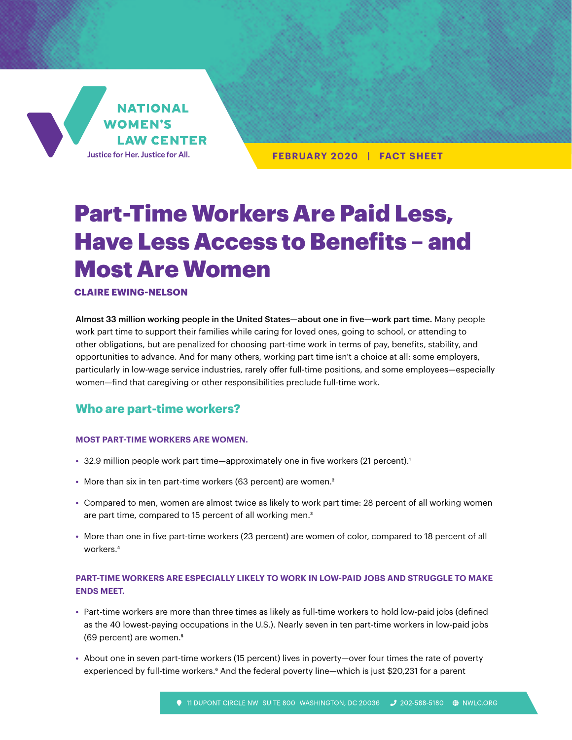

**FEBRUARY 2020 | FACT SHEET**

# Part-Time Workers Are Paid Less, Have Less Access to Benefits – and Most Are Women

#### **CLAIRE EWING-NELSON**

Almost 33 million working people in the United States—about one in five—work part time. Many people work part time to support their families while caring for loved ones, going to school, or attending to other obligations, but are penalized for choosing part-time work in terms of pay, benefits, stability, and opportunities to advance. And for many others, working part time isn't a choice at all: some employers, particularly in low-wage service industries, rarely offer full-time positions, and some employees—especially women—find that caregiving or other responsibilities preclude full-time work.

## **Who are part-time workers?**

#### **MOST PART-TIME WORKERS ARE WOMEN.**

- 32.9 million people work part time—approximately one in five workers (21 percent).<sup>1</sup>
- More than six in ten part-time workers (63 percent) are women.<sup>2</sup>
- **•** Compared to men, women are almost twice as likely to work part time: 28 percent of all working women are part time, compared to 15 percent of all working men.<sup>3</sup>
- **•** More than one in five part-time workers (23 percent) are women of color, compared to 18 percent of all workers.4

## **PART-TIME WORKERS ARE ESPECIALLY LIKELY TO WORK IN LOW-PAID JOBS AND STRUGGLE TO MAKE ENDS MEET.**

- **•** Part-time workers are more than three times as likely as full-time workers to hold low-paid jobs (defined as the 40 lowest-paying occupations in the U.S.). Nearly seven in ten part-time workers in low-paid jobs (69 percent) are women.5
- **•** About one in seven part-time workers (15 percent) lives in poverty—over four times the rate of poverty experienced by full-time workers.<sup>6</sup> And the federal poverty line—which is just \$20,231 for a parent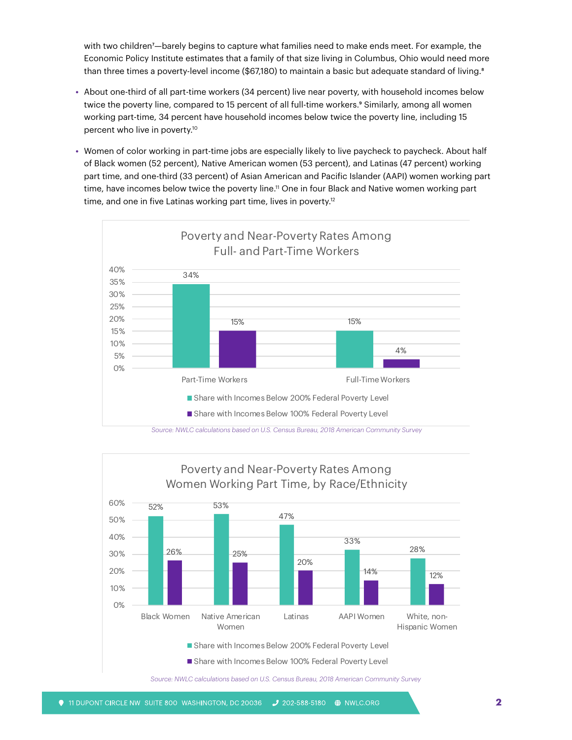with two children7—barely begins to capture what families need to make ends meet. For example, the Economic Policy Institute estimates that a family of that size living in Columbus, Ohio would need more than three times a poverty-level income (\$67,180) to maintain a basic but adequate standard of living.<sup>8</sup>

- **•** About one-third of all part-time workers (34 percent) live near poverty, with household incomes below twice the poverty line, compared to 15 percent of all full-time workers.<sup>9</sup> Similarly, among all women working part-time, 34 percent have household incomes below twice the poverty line, including 15 percent who live in poverty.10
- **•** Women of color working in part-time jobs are especially likely to live paycheck to paycheck. About half of Black women (52 percent), Native American women (53 percent), and Latinas (47 percent) working part time, and one-third (33 percent) of Asian American and Pacific Islander (AAPI) women working part time, have incomes below twice the poverty line.<sup>11</sup> One in four Black and Native women working part time, and one in five Latinas working part time, lives in poverty.<sup>12</sup>



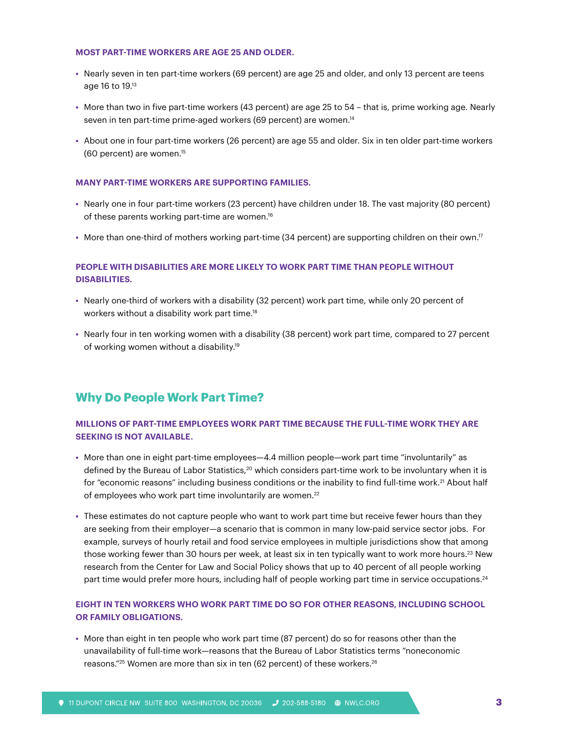#### **MOST PART-TIME WORKERS ARE AGE 25 AND OLDER.**

- **•** Nearly seven in ten part-time workers (69 percent) are age 25 and older, and only 13 percent are teens age 16 to 19.13
- **•** More than two in five part-time workers (43 percent) are age 25 to 54 that is, prime working age. Nearly seven in ten part-time prime-aged workers (69 percent) are women.<sup>14</sup>
- **•** About one in four part-time workers (26 percent) are age 55 and older. Six in ten older part-time workers (60 percent) are women.15

#### **MANY PART-TIME WORKERS ARE SUPPORTING FAMILIES.**

- **•** Nearly one in four part-time workers (23 percent) have children under 18. The vast majority (80 percent) of these parents working part-time are women.<sup>16</sup>
- More than one-third of mothers working part-time (34 percent) are supporting children on their own.<sup>17</sup>

### **PEOPLE WITH DISABILITIES ARE MORE LIKELY TO WORK PART TIME THAN PEOPLE WITHOUT DISABILITIES.**

- **•** Nearly one-third of workers with a disability (32 percent) work part time, while only 20 percent of workers without a disability work part time.<sup>18</sup>
- **•** Nearly four in ten working women with a disability (38 percent) work part time, compared to 27 percent of working women without a disability.<sup>19</sup>

# **Why Do People Work Part Time?**

#### **MILLIONS OF PART-TIME EMPLOYEES WORK PART TIME BECAUSE THE FULL-TIME WORK THEY ARE SEEKING IS NOT AVAILABLE.**

- **•** More than one in eight part-time employees—4.4 million people—work part time "involuntarily" as defined by the Bureau of Labor Statistics,<sup>20</sup> which considers part-time work to be involuntary when it is for "economic reasons" including business conditions or the inability to find full-time work.<sup>21</sup> About half of employees who work part time involuntarily are women.<sup>22</sup>
- **•** These estimates do not capture people who want to work part time but receive fewer hours than they are seeking from their employer—a scenario that is common in many low-paid service sector jobs. For example, surveys of hourly retail and food service employees in multiple jurisdictions show that among those working fewer than 30 hours per week, at least six in ten typically want to work more hours.<sup>23</sup> New research from the Center for Law and Social Policy shows that up to 40 percent of all people working part time would prefer more hours, including half of people working part time in service occupations.<sup>24</sup>

#### **EIGHT IN TEN WORKERS WHO WORK PART TIME DO SO FOR OTHER REASONS, INCLUDING SCHOOL OR FAMILY OBLIGATIONS.**

**•** More than eight in ten people who work part time (87 percent) do so for reasons other than the unavailability of full-time work—reasons that the Bureau of Labor Statistics terms "noneconomic reasons."<sup>25</sup> Women are more than six in ten (62 percent) of these workers.<sup>26</sup>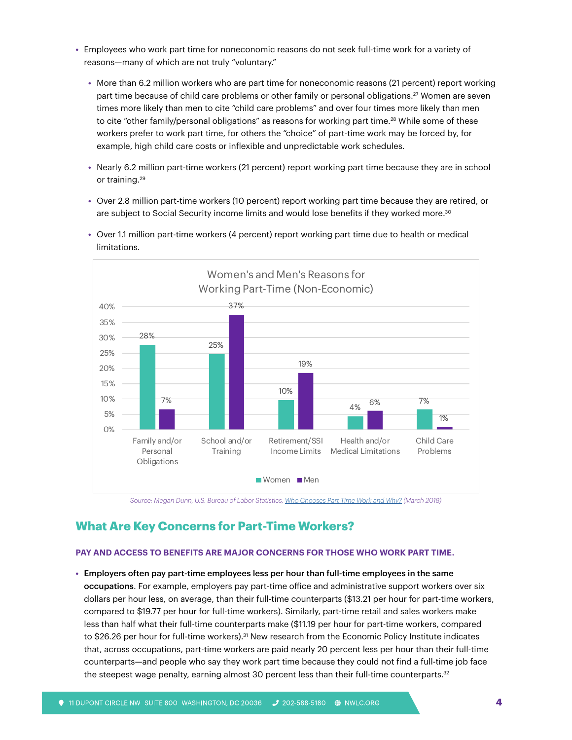- **•** Employees who work part time for noneconomic reasons do not seek full-time work for a variety of reasons—many of which are not truly "voluntary."
	- **•** More than 6.2 million workers who are part time for noneconomic reasons (21 percent) report working part time because of child care problems or other family or personal obligations.<sup>27</sup> Women are seven times more likely than men to cite "child care problems" and over four times more likely than men to cite "other family/personal obligations" as reasons for working part time.<sup>28</sup> While some of these workers prefer to work part time, for others the "choice" of part-time work may be forced by, for example, high child care costs or inflexible and unpredictable work schedules.
	- **•** Nearly 6.2 million part-time workers (21 percent) report working part time because they are in school or training.<sup>29</sup>
	- **•** Over 2.8 million part-time workers (10 percent) report working part time because they are retired, or are subject to Social Security income limits and would lose benefits if they worked more. $^{30}$



**•** Over 1.1 million part-time workers (4 percent) report working part time due to health or medical limitations.

*Source: Megan Dunn, U.S. Bureau of Labor Statistics, [Who Chooses Part-Time Work and Why?](https://www.bls.gov/opub/mlr/2018/article/who-chooses-part-time-work-and-why.htm) (March 2018)*

# **What Are Key Concerns for Part-Time Workers?**

#### **PAY AND ACCESS TO BENEFITS ARE MAJOR CONCERNS FOR THOSE WHO WORK PART TIME.**

**•** Employers often pay part-time employees less per hour than full-time employees in the same occupations. For example, employers pay part-time office and administrative support workers over six dollars per hour less, on average, than their full-time counterparts (\$13.21 per hour for part-time workers, compared to \$19.77 per hour for full-time workers). Similarly, part-time retail and sales workers make less than half what their full-time counterparts make (\$11.19 per hour for part-time workers, compared to \$26.26 per hour for full-time workers).<sup>31</sup> New research from the Economic Policy Institute indicates that, across occupations, part-time workers are paid nearly 20 percent less per hour than their full-time counterparts—and people who say they work part time because they could not find a full-time job face the steepest wage penalty, earning almost 30 percent less than their full-time counterparts.<sup>32</sup>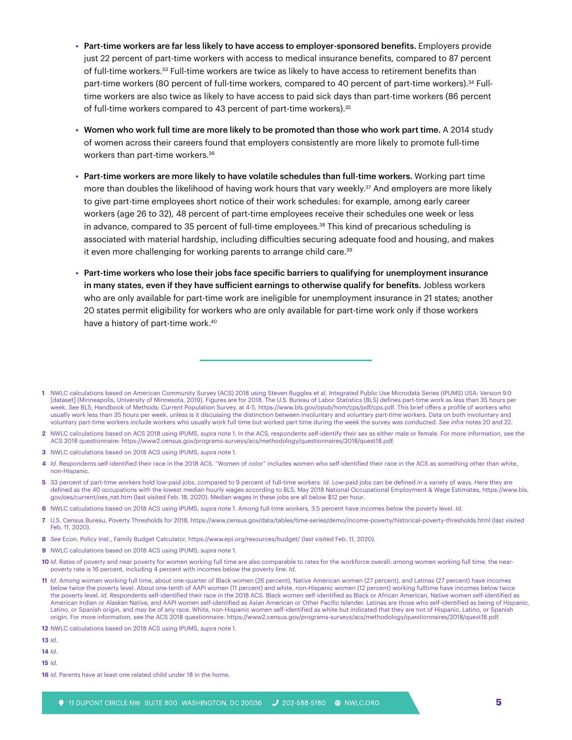- **•** Part-time workers are far less likely to have access to employer-sponsored benefits. Employers provide just 22 percent of part-time workers with access to medical insurance benefits, compared to 87 percent of full-time workers.33 Full-time workers are twice as likely to have access to retirement benefits than part-time workers (80 percent of full-time workers, compared to 40 percent of part-time workers).<sup>34</sup> Fulltime workers are also twice as likely to have access to paid sick days than part-time workers (86 percent of full-time workers compared to 43 percent of part-time workers).<sup>35</sup>
- **•** Women who work full time are more likely to be promoted than those who work part time. A 2014 study of women across their careers found that employers consistently are more likely to promote full-time workers than part-time workers.36
- **•** Part-time workers are more likely to have volatile schedules than full-time workers. Working part time more than doubles the likelihood of having work hours that vary weekly.<sup>37</sup> And employers are more likely to give part-time employees short notice of their work schedules: for example, among early career workers (age 26 to 32), 48 percent of part-time employees receive their schedules one week or less in advance, compared to 35 percent of full-time employees.<sup>38</sup> This kind of precarious scheduling is associated with material hardship, including difficulties securing adequate food and housing, and makes it even more challenging for working parents to arrange child care.<sup>39</sup>
- **•** Part-time workers who lose their jobs face specific barriers to qualifying for unemployment insurance in many states, even if they have sufficient earnings to otherwise qualify for benefits. Jobless workers who are only available for part-time work are ineligible for unemployment insurance in 21 states; another 20 states permit eligibility for workers who are only available for part-time work only if those workers have a history of part-time work.<sup>40</sup>

**3** NWLC calculations based on 2018 ACS using IPUMS, *supra* note 1.

- **8** *See* Econ. Policy Inst., Family Budget Calculator, https://www.epi.org/resources/budget/ (last visited Feb. 11, 2020).
- **9** NWLC calculations based on 2018 ACS using IPUMS, *supra* note 1.
- 10 *Id*. Rates of poverty and near poverty for women working full time are also comparable to rates for the workforce overall: among women working full time, the nearpoverty rate is 16 percent, including 4 percent with incomes below the poverty line. *Id*.

**12** NWLC calculations based on 2018 ACS using IPUMS, *supra* note 1.

**13** *Id*.

- **14** *Id*.
- **15** *Id*.

**<sup>1</sup>** NWLC calculations based on American Community Survey (ACS) 2018 using Steven Ruggles et al, Integrated Public Use Microdata Series (IPUMS) USA: Version 9.0 [dataset] (Minneapolis, University of Minnesota, 2019). Figures are for 2018. The U.S. Bureau of Labor Statistics (BLS) defines part-time work as less than 35 hours per week. *See* BLS, Handbook of Methods: Current Population Survey, at 4-5, https://www.bls.gov/opub/hom/cps/pdf/cps.pdf. This brief offers a profile of workers who usually work less than 35 hours per week, unless is it discussing the distinction between involuntary and voluntary part-time workers. Data on both involuntary and voluntary part-time workers include workers who usually work full time but worked part time during the week the survey was conducted. *See infra* notes 20 and 22.

**<sup>2</sup>** NWLC calculations based on ACS 2018 using IPUMS, *supra* note 1. In the ACS, respondents self-identify their sex as either male or female. For more information, see the ACS 2018 questionnaire: https://www2.census.gov/programs-surveys/acs/methodology/questionnaires/2018/quest18.pdf.

**<sup>4</sup>** *Id*. Respondents self-identified their race in the 2018 ACS. "Women of color" includes women who self-identified their race in the ACS as something other than white, non-Hispanic.

**<sup>5</sup>** 33 percent of part-time workers hold low-paid jobs, compared to 9 percent of full-time workers. *Id*. Low-paid jobs can be defined in a variety of ways. Here they are defined as the 40 occupations with the lowest median hourly wages according to BLS, May 2018 National Occupational Employment & Wage Estimates, https://www.bls. gov/oes/current/oes\_nat.htm (last visited Feb. 18, 2020). Median wages in these jobs are all below \$12 per hour.

**<sup>6</sup>** NWLC calculations based on 2018 ACS using IPUMS, *supra* note 1. Among full-time workers, 3.5 percent have incomes below the poverty level. *Id*.

**<sup>7</sup>** U.S. Census Bureau, Poverty Thresholds for 2018, https://www.census.gov/data/tables/time-series/demo/income-poverty/historical-poverty-thresholds.html (last visited Feb. 11, 2020).

**<sup>11</sup>** *Id*. Among women working full time, about one-quarter of Black women (26 percent), Native American women (27 percent), and Latinas (27 percent) have incomes below twice the poverty level. About one-tenth of AAPI women (11 percent) and white, non-Hispanic women (12 percent) working fulltime have incomes below twice the poverty level. *Id*. Respondents self-identified their race in the 2018 ACS. Black women self-identified as Black or African American, Native women self-identified as American Indian or Alaskan Native, and AAPI women self-identified as Asian American or Other Pacific Islander. Latinas are those who self-identified as being of Hispanic, Latino, or Spanish origin, and may be of any race. White, non-Hispanic women self-identified as white but indicated that they are not of Hispanic, Latino, or Spanish origin. For more information, see the ACS 2018 questionnaire: https://www2.census.gov/programs-surveys/acs/methodology/questionnaires/2018/quest18.pdf.

**<sup>16</sup>** *Id*. Parents have at least one related child under 18 in the home.